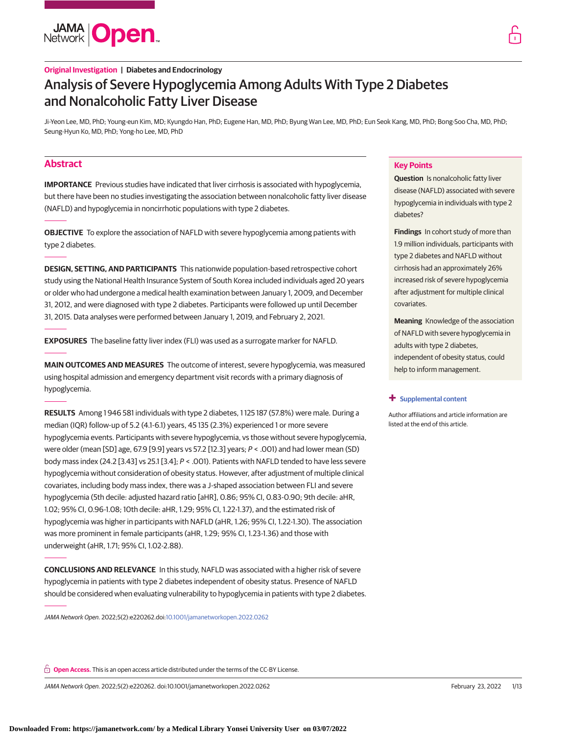

# **Original Investigation | Diabetes and Endocrinology** Analysis of Severe Hypoglycemia Among Adults With Type 2 Diabetes and Nonalcoholic Fatty Liver Disease

Ji-Yeon Lee, MD, PhD; Young-eun Kim, MD; Kyungdo Han, PhD; Eugene Han, MD, PhD; Byung Wan Lee, MD, PhD; Eun Seok Kang, MD, PhD; Bong-Soo Cha, MD, PhD; Seung-Hyun Ko, MD, PhD; Yong-ho Lee, MD, PhD

# **Abstract**

**IMPORTANCE** Previous studies have indicated that liver cirrhosis is associated with hypoglycemia, but there have been no studies investigating the association between nonalcoholic fatty liver disease (NAFLD) and hypoglycemia in noncirrhotic populations with type 2 diabetes.

**OBJECTIVE** To explore the association of NAFLD with severe hypoglycemia among patients with type 2 diabetes.

**DESIGN, SETTING, AND PARTICIPANTS** This nationwide population-based retrospective cohort study using the National Health Insurance System of South Korea included individuals aged 20 years or older who had undergone a medical health examination between January 1, 2009, and December 31, 2012, and were diagnosed with type 2 diabetes. Participants were followed up until December 31, 2015. Data analyses were performed between January 1, 2019, and February 2, 2021.

**EXPOSURES** The baseline fatty liver index (FLI) was used as a surrogate marker for NAFLD.

**MAIN OUTCOMES AND MEASURES** The outcome of interest, severe hypoglycemia, was measured using hospital admission and emergency department visit records with a primary diagnosis of hypoglycemia.

**RESULTS** Among 1 946 581 individuals with type 2 diabetes, 1 125 187 (57.8%) were male. During a median (IQR) follow-up of 5.2 (4.1-6.1) years, 45 135 (2.3%) experienced 1 or more severe hypoglycemia events. Participants with severe hypoglycemia, vs those without severe hypoglycemia, were older (mean [SD] age, 67.9 [9.9] years vs 57.2 [12.3] years; P < .001) and had lower mean (SD) body mass index (24.2 [3.43] vs 25.1 [3.4]; P < .001). Patients with NAFLD tended to have less severe hypoglycemia without consideration of obesity status. However, after adjustment of multiple clinical covariates, including body mass index, there was a J-shaped association between FLI and severe hypoglycemia (5th decile: adjusted hazard ratio [aHR], 0.86; 95% CI, 0.83-0.90; 9th decile: aHR, 1.02; 95% CI, 0.96-1.08; 10th decile: aHR, 1.29; 95% CI, 1.22-1.37), and the estimated risk of hypoglycemia was higher in participants with NAFLD (aHR, 1.26; 95% CI, 1.22-1.30). The association was more prominent in female participants (aHR, 1.29; 95% CI, 1.23-1.36) and those with underweight (aHR, 1.71; 95% CI, 1.02-2.88).

**CONCLUSIONS AND RELEVANCE** In this study, NAFLD was associated with a higher risk of severe hypoglycemia in patients with type 2 diabetes independent of obesity status. Presence of NAFLD should be considered when evaluating vulnerability to hypoglycemia in patients with type 2 diabetes.

JAMA Network Open. 2022;5(2):e220262.doi[:10.1001/jamanetworkopen.2022.0262](https://jama.jamanetwork.com/article.aspx?doi=10.1001/jamanetworkopen.2022.0262&utm_campaign=articlePDF%26utm_medium=articlePDFlink%26utm_source=articlePDF%26utm_content=jamanetworkopen.2022.0262)

**Open Access.** This is an open access article distributed under the terms of the CC-BY License.

JAMA Network Open. 2022;5(2):e220262. doi:10.1001/jamanetworkopen.2022.0262 (Reprinted) February 23, 2022 1/13

# **Key Points**

**Question** Is nonalcoholic fatty liver disease (NAFLD) associated with severe hypoglycemia in individuals with type 2 diabetes?

**Findings** In cohort study of more than 1.9 million individuals, participants with type 2 diabetes and NAFLD without cirrhosis had an approximately 26% increased risk of severe hypoglycemia after adjustment for multiple clinical covariates.

**Meaning** Knowledge of the association of NAFLD with severe hypoglycemia in adults with type 2 diabetes, independent of obesity status, could help to inform management.

#### **+ [Supplemental content](https://jama.jamanetwork.com/article.aspx?doi=10.1001/jamanetworkopen.2022.0262&utm_campaign=articlePDF%26utm_medium=articlePDFlink%26utm_source=articlePDF%26utm_content=jamanetworkopen.2022.0262)**

Author affiliations and article information are listed at the end of this article.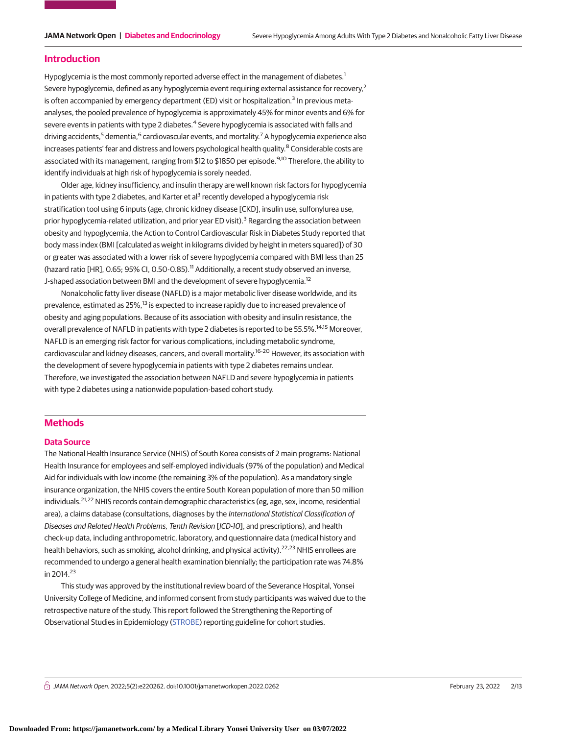## **Introduction**

Hypoglycemia is the most commonly reported adverse effect in the management of diabetes.<sup>1</sup> Severe hypoglycemia, defined as any hypoglycemia event requiring external assistance for recovery,<sup>2</sup> is often accompanied by emergency department (ED) visit or hospitalization.<sup>3</sup> In previous metaanalyses, the pooled prevalence of hypoglycemia is approximately 45% for minor events and 6% for severe events in patients with type 2 diabetes.<sup>4</sup> Severe hypoglycemia is associated with falls and driving accidents,<sup>5</sup> dementia,<sup>6</sup> cardiovascular events, and mortality.<sup>7</sup> A hypoglycemia experience also increases patients' fear and distress and lowers psychological health quality.<sup>8</sup> Considerable costs are associated with its management, ranging from \$12 to \$1850 per episode.<sup>9,10</sup> Therefore, the ability to identify individuals at high risk of hypoglycemia is sorely needed.

Older age, kidney insufficiency, and insulin therapy are well known risk factors for hypoglycemia in patients with type 2 diabetes, and Karter et al<sup>3</sup> recently developed a hypoglycemia risk stratification tool using 6 inputs (age, chronic kidney disease [CKD], insulin use, sulfonylurea use, prior hypoglycemia-related utilization, and prior year ED visit).<sup>3</sup> Regarding the association between obesity and hypoglycemia, the Action to Control Cardiovascular Risk in Diabetes Study reported that body mass index (BMI [calculated as weight in kilograms divided by height in meters squared]) of 30 or greater was associated with a lower risk of severe hypoglycemia compared with BMI less than 25 (hazard ratio [HR], 0.65; 95% CI, 0.50-0.85).<sup>11</sup> Additionally, a recent study observed an inverse, J-shaped association between BMI and the development of severe hypoglycemia.<sup>12</sup>

Nonalcoholic fatty liver disease (NAFLD) is a major metabolic liver disease worldwide, and its prevalence, estimated as 25%,<sup>13</sup> is expected to increase rapidly due to increased prevalence of obesity and aging populations. Because of its association with obesity and insulin resistance, the overall prevalence of NAFLD in patients with type 2 diabetes is reported to be 55.5%.14,15 Moreover, NAFLD is an emerging risk factor for various complications, including metabolic syndrome, cardiovascular and kidney diseases, cancers, and overall mortality.16-20 However, its association with the development of severe hypoglycemia in patients with type 2 diabetes remains unclear. Therefore, we investigated the association between NAFLD and severe hypoglycemia in patients with type 2 diabetes using a nationwide population-based cohort study.

# **Methods**

## **Data Source**

The National Health Insurance Service (NHIS) of South Korea consists of 2 main programs: National Health Insurance for employees and self-employed individuals (97% of the population) and Medical Aid for individuals with low income (the remaining 3% of the population). As a mandatory single insurance organization, the NHIS covers the entire South Korean population of more than 50 million individuals.<sup>21,22</sup> NHIS records contain demographic characteristics (eg, age, sex, income, residential area), a claims database (consultations, diagnoses by the International Statistical Classification of Diseases and Related Health Problems, Tenth Revision [ICD-10], and prescriptions), and health check-up data, including anthropometric, laboratory, and questionnaire data (medical history and health behaviors, such as smoking, alcohol drinking, and physical activity).<sup>22,23</sup> NHIS enrollees are recommended to undergo a general health examination biennially; the participation rate was 74.8% in  $2014.23$ 

This study was approved by the institutional review board of the Severance Hospital, Yonsei University College of Medicine, and informed consent from study participants was waived due to the retrospective nature of the study. This report followed the Strengthening the Reporting of Observational Studies in Epidemiology [\(STROBE\)](http://www.equator-network.org/reporting-guidelines/strobe/) reporting guideline for cohort studies.

 $\stackrel{\frown}{\cap}$  JAMA Network Open. 2022;5(2):e220262. doi:10.1001/jamanetworkopen.2022.0262 (Reprinted) February 23, 2022 2/13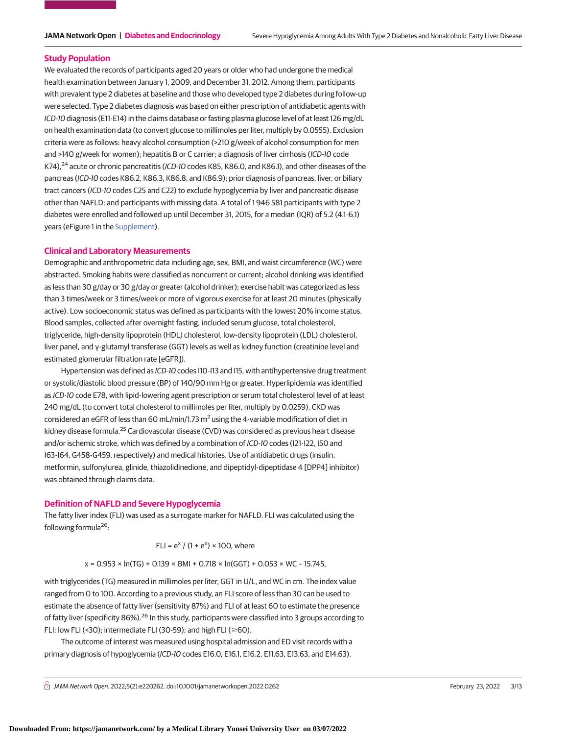#### **Study Population**

We evaluated the records of participants aged 20 years or older who had undergone the medical health examination between January 1, 2009, and December 31, 2012. Among them, participants with prevalent type 2 diabetes at baseline and those who developed type 2 diabetes during follow-up were selected. Type 2 diabetes diagnosis was based on either prescription of antidiabetic agents with ICD-10 diagnosis (E11-E14) in the claims database or fasting plasma glucose level of at least 126 mg/dL on health examination data (to convert glucose to millimoles per liter, multiply by 0.0555). Exclusion criteria were as follows: heavy alcohol consumption (>210 g/week of alcohol consumption for men and >140 g/week for women); hepatitis B or C carrier; a diagnosis of liver cirrhosis (ICD-10 code K74),<sup>24</sup> acute or chronic pancreatitis (ICD-10 codes K85, K86.0, and K86.1), and other diseases of the pancreas (ICD-10 codes K86.2, K86.3, K86.8, and K86.9); prior diagnosis of pancreas, liver, or biliary tract cancers (ICD-10 codes C25 and C22) to exclude hypoglycemia by liver and pancreatic disease other than NAFLD; and participants with missing data. A total of 1 946 581 participants with type 2 diabetes were enrolled and followed up until December 31, 2015, for a median (IQR) of 5.2 (4.1-6.1) years (eFigure 1 in the [Supplement\)](https://jama.jamanetwork.com/article.aspx?doi=10.1001/jamanetworkopen.2022.0262&utm_campaign=articlePDF%26utm_medium=articlePDFlink%26utm_source=articlePDF%26utm_content=jamanetworkopen.2022.0262).

#### **Clinical and Laboratory Measurements**

Demographic and anthropometric data including age, sex, BMI, and waist circumference (WC) were abstracted. Smoking habits were classified as noncurrent or current; alcohol drinking was identified as less than 30 g/day or 30 g/day or greater (alcohol drinker); exercise habit was categorized as less than 3 times/week or 3 times/week or more of vigorous exercise for at least 20 minutes (physically active). Low socioeconomic status was defined as participants with the lowest 20% income status. Blood samples, collected after overnight fasting, included serum glucose, total cholesterol, triglyceride, high-density lipoprotein (HDL) cholesterol, low-density lipoprotein (LDL) cholesterol, liver panel, and γ-glutamyl transferase (GGT) levels as well as kidney function (creatinine level and estimated glomerular filtration rate [eGFR]).

Hypertension was defined as ICD-10 codes I10-I13 and I15, with antihypertensive drug treatment or systolic/diastolic blood pressure (BP) of 140/90 mm Hg or greater. Hyperlipidemia was identified as ICD-10 code E78, with lipid-lowering agent prescription or serum total cholesterol level of at least 240 mg/dL (to convert total cholesterol to millimoles per liter, multiply by 0.0259). CKD was considered an eGFR of less than 60 mL/min/1.73  $m^2$  using the 4-variable modification of diet in kidney disease formula.<sup>25</sup> Cardiovascular disease (CVD) was considered as previous heart disease and/or ischemic stroke, which was defined by a combination of ICD-10 codes (I21-I22, I50 and I63-I64, G458-G459, respectively) and medical histories. Use of antidiabetic drugs (insulin, metformin, sulfonylurea, glinide, thiazolidinedione, and dipeptidyl-dipeptidase 4 [DPP4] inhibitor) was obtained through claims data.

#### **Definition of NAFLD and Severe Hypoglycemia**

The fatty liver index (FLI) was used as a surrogate marker for NAFLD. FLI was calculated using the following formula $26$ :

FLI =  $e^{x}$  / (1 +  $e^{x}$ ) × 100, where

$$
x = 0.953 \times \ln(TG) + 0.139 \times \text{BMI} + 0.718 \times \ln(\text{GGT}) + 0.053 \times \text{WC} - 15.745,
$$

with triglycerides (TG) measured in millimoles per liter, GGT in U/L, and WC in cm. The index value ranged from 0 to 100. According to a previous study, an FLI score of less than 30 can be used to estimate the absence of fatty liver (sensitivity 87%) and FLI of at least 60 to estimate the presence of fatty liver (specificity 86%).<sup>26</sup> In this study, participants were classified into 3 groups according to FLI: low FLI (<30); intermediate FLI (30-59); and high FLI ( $\geq$ 60).

The outcome of interest was measured using hospital admission and ED visit records with a primary diagnosis of hypoglycemia (ICD-10 codes E16.0, E16.1, E16.2, E11.63, E13.63, and E14.63).

 $\bigcap$  JAMA Network Open. 2022;5(2):e220262. doi:10.1001/jamanetworkopen.2022.0262 (Reprinted) February 23, 2022 3/13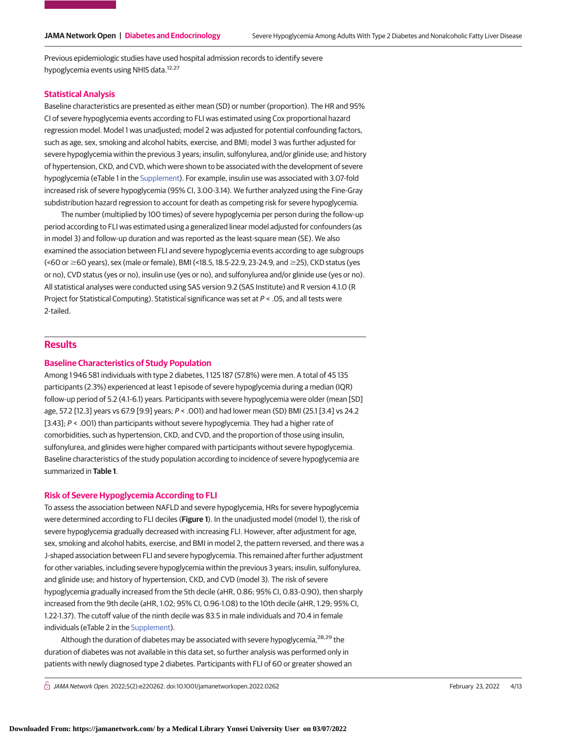Previous epidemiologic studies have used hospital admission records to identify severe hypoglycemia events using NHIS data.<sup>12,27</sup>

### **Statistical Analysis**

Baseline characteristics are presented as either mean (SD) or number (proportion). The HR and 95% CI of severe hypoglycemia events according to FLI was estimated using Cox proportional hazard regression model. Model 1 was unadjusted; model 2 was adjusted for potential confounding factors, such as age, sex, smoking and alcohol habits, exercise, and BMI; model 3 was further adjusted for severe hypoglycemia within the previous 3 years; insulin, sulfonylurea, and/or glinide use; and history of hypertension, CKD, and CVD, which were shown to be associated with the development of severe hypoglycemia (eTable 1 in the [Supplement\)](https://jama.jamanetwork.com/article.aspx?doi=10.1001/jamanetworkopen.2022.0262&utm_campaign=articlePDF%26utm_medium=articlePDFlink%26utm_source=articlePDF%26utm_content=jamanetworkopen.2022.0262). For example, insulin use was associated with 3.07-fold increased risk of severe hypoglycemia (95% CI, 3.00-3.14). We further analyzed using the Fine-Gray subdistribution hazard regression to account for death as competing risk for severe hypoglycemia.

The number (multiplied by 100 times) of severe hypoglycemia per person during the follow-up period according to FLI was estimated using a generalized linear model adjusted for confounders (as in model 3) and follow-up duration and was reported as the least-square mean (SE). We also examined the association between FLI and severe hypoglycemia events according to age subgroups (<60 or ≥60 years), sex (male or female), BMI (<18.5, 18.5-22.9, 23-24.9, and ≥25), CKD status (yes or no), CVD status (yes or no), insulin use (yes or no), and sulfonylurea and/or glinide use (yes or no). All statistical analyses were conducted using SAS version 9.2 (SAS Institute) and R version 4.1.0 (R Project for Statistical Computing). Statistical significance was set at P < .05, and all tests were 2-tailed.

## **Results**

# **Baseline Characteristics of Study Population**

Among 1 946 581 individuals with type 2 diabetes, 1 125 187 (57.8%) were men. A total of 45 135 participants (2.3%) experienced at least 1 episode of severe hypoglycemia during a median (IQR) follow-up period of 5.2 (4.1-6.1) years. Participants with severe hypoglycemia were older (mean [SD] age, 57.2 [12.3] years vs 67.9 [9.9] years; P < .001) and had lower mean (SD) BMI (25.1 [3.4] vs 24.2 [3.43]; P < .001) than participants without severe hypoglycemia. They had a higher rate of comorbidities, such as hypertension, CKD, and CVD, and the proportion of those using insulin, sulfonylurea, and glinides were higher compared with participants without severe hypoglycemia. Baseline characteristics of the study population according to incidence of severe hypoglycemia are summarized in **Table 1**.

# **Risk of Severe Hypoglycemia According to FLI**

To assess the association between NAFLD and severe hypoglycemia, HRs for severe hypoglycemia were determined according to FLI deciles (**Figure 1**). In the unadjusted model (model 1), the risk of severe hypoglycemia gradually decreased with increasing FLI. However, after adjustment for age, sex, smoking and alcohol habits, exercise, and BMI in model 2, the pattern reversed, and there was a J-shaped association between FLI and severe hypoglycemia. This remained after further adjustment for other variables, including severe hypoglycemia within the previous 3 years; insulin, sulfonylurea, and glinide use; and history of hypertension, CKD, and CVD (model 3). The risk of severe hypoglycemia gradually increased from the 5th decile (aHR, 0.86; 95% CI, 0.83-0.90), then sharply increased from the 9th decile (aHR, 1.02; 95% CI, 0.96-1.08) to the 10th decile (aHR, 1.29; 95% CI, 1.22-1.37). The cutoff value of the ninth decile was 83.5 in male individuals and 70.4 in female individuals (eTable 2 in the [Supplement\)](https://jama.jamanetwork.com/article.aspx?doi=10.1001/jamanetworkopen.2022.0262&utm_campaign=articlePDF%26utm_medium=articlePDFlink%26utm_source=articlePDF%26utm_content=jamanetworkopen.2022.0262).

Although the duration of diabetes may be associated with severe hypoglycemia,<sup>28,29</sup> the duration of diabetes was not available in this data set, so further analysis was performed only in patients with newly diagnosed type 2 diabetes. Participants with FLI of 60 or greater showed an

 $\bigcap$  JAMA Network Open. 2022;5(2):e220262. doi:10.1001/jamanetworkopen.2022.0262 (Reprinted) February 23, 2022 4/13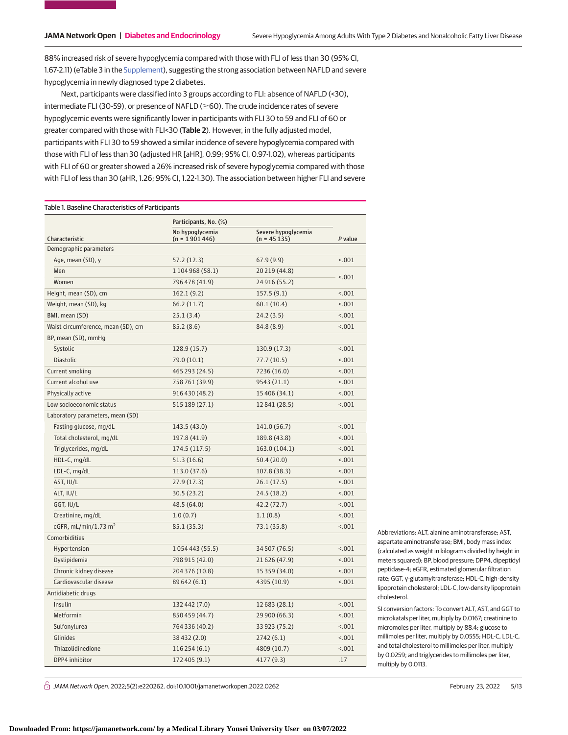88% increased risk of severe hypoglycemia compared with those with FLI of less than 30 (95% CI, 1.67-2.11) (eTable 3 in the [Supplement\)](https://jama.jamanetwork.com/article.aspx?doi=10.1001/jamanetworkopen.2022.0262&utm_campaign=articlePDF%26utm_medium=articlePDFlink%26utm_source=articlePDF%26utm_content=jamanetworkopen.2022.0262), suggesting the strong association between NAFLD and severe hypoglycemia in newly diagnosed type 2 diabetes.

Next, participants were classified into 3 groups according to FLI: absence of NAFLD (<30), intermediate FLI (30-59), or presence of NAFLD ( $\geq$ 60). The crude incidence rates of severe hypoglycemic events were significantly lower in participants with FLI 30 to 59 and FLI of 60 or greater compared with those with FLI<30 (**Table 2**). However, in the fully adjusted model, participants with FLI 30 to 59 showed a similar incidence of severe hypoglycemia compared with those with FLI of less than 30 (adjusted HR [aHR], 0.99; 95% CI, 0.97-1.02), whereas participants with FLI of 60 or greater showed a 26% increased risk of severe hypoglycemia compared with those with FLI of less than 30 (aHR, 1.26; 95% CI, 1.22-1.30). The association between higher FLI and severe

#### Table 1. Baseline Characteristics of Participants

|                                    | Participants, No. (%)              |                                      |         |
|------------------------------------|------------------------------------|--------------------------------------|---------|
| Characteristic                     | No hypoglycemia<br>$(n = 1901446)$ | Severe hypoglycemia<br>$(n = 45135)$ | P value |
| Demographic parameters             |                                    |                                      |         |
| Age, mean (SD), y                  | 57.2 (12.3)                        | 67.9 (9.9)                           | < .001  |
| Men                                | 1 104 968 (58.1)                   | 20 219 (44.8)                        |         |
| Women                              | 796 478 (41.9)                     | 24916 (55.2)                         | < .001  |
| Height, mean (SD), cm              | 162.1(9.2)                         | 157.5(9.1)                           | < .001  |
| Weight, mean (SD), kg              | 66.2 (11.7)                        | 60.1 (10.4)                          | < .001  |
| BMI, mean (SD)                     | 25.1(3.4)                          | 24.2 (3.5)                           | < .001  |
| Waist circumference, mean (SD), cm | 85.2(8.6)                          | 84.8 (8.9)                           | < .001  |
| BP, mean (SD), mmHg                |                                    |                                      |         |
| Systolic                           | 128.9(15.7)                        | 130.9 (17.3)                         | < .001  |
| <b>Diastolic</b>                   | 79.0 (10.1)                        | 77.7 (10.5)                          | < .001  |
| Current smoking                    | 465 293 (24.5)                     | 7236 (16.0)                          | < .001  |
| Current alcohol use                | 758761 (39.9)                      | 9543 (21.1)                          | < .001  |
| Physically active                  | 916 430 (48.2)                     | 15 406 (34.1)                        | < .001  |
| Low socioeconomic status           | 515 189 (27.1)                     | 12841 (28.5)                         | < .001  |
| Laboratory parameters, mean (SD)   |                                    |                                      |         |
| Fasting glucose, mg/dL             | 143.5 (43.0)                       | 141.0 (56.7)                         | < .001  |
| Total cholesterol, mg/dL           | 197.8 (41.9)                       | 189.8 (43.8)                         | < .001  |
| Triglycerides, mg/dL               | 174.5 (117.5)                      | 163.0 (104.1)                        | < .001  |
| HDL-C, mg/dL                       | 51.3 (16.6)                        | 50.4 (20.0)                          | < .001  |
| LDL-C, mg/dL                       | 113.0 (37.6)                       | 107.8 (38.3)                         | < .001  |
| AST, IU/L                          | 27.9(17.3)                         | 26.1 (17.5)                          | < .001  |
| ALT, IU/L                          | 30.5(23.2)                         | 24.5 (18.2)                          | < .001  |
| GGT, IU/L                          | 48.5 (64.0)                        | 42.2 (72.7)                          | < .001  |
| Creatinine, mg/dL                  | 1.0(0.7)                           | 1.1(0.8)                             | < .001  |
| eGFR, mL/min/1.73 m <sup>2</sup>   | 85.1 (35.3)                        | 73.1 (35.8)                          | < .001  |
| Comorbidities                      |                                    |                                      |         |
| Hypertension                       | 1 0 5 4 4 4 3 ( 5 5 . 5 )          | 34 507 (76.5)                        | < .001  |
| Dyslipidemia                       | 798 915 (42.0)                     | 21626 (47.9)                         | 1001    |
| Chronic kidney disease             | 204 376 (10.8)                     | 15 359 (34.0)                        | < .001  |
| Cardiovascular disease             | 89 642 (6.1)                       | 4395 (10.9)                          | < .001  |
| Antidiabetic drugs                 |                                    |                                      |         |
| Insulin                            | 132 442 (7.0)                      | 12 683 (28.1)                        | < .001  |
| <b>Metformin</b>                   | 850 459 (44.7)                     | 29 900 (66.3)                        | < .001  |
| Sulfonylurea                       | 764 336 (40.2)                     | 33 923 (75.2)                        | 1001    |
| Glinides                           | 38432 (2.0)                        | 2742 (6.1)                           | < .001  |
| Thiazolidinedione                  | 116 254 (6.1)                      | 4809 (10.7)                          | < .001  |
| DPP4 inhibitor                     | 172 405 (9.1)                      | 4177 (9.3)                           | .17     |

Abbreviations: ALT, alanine aminotransferase; AST, aspartate aminotransferase; BMI, body mass index (calculated as weight in kilograms divided by height in meters squared); BP, blood pressure; DPP4, dipeptidyl peptidase-4; eGFR, estimated glomerular filtration rate; GGT, γ-glutamyltransferase; HDL-C, high-density lipoprotein cholesterol; LDL-C, low-density lipoprotein cholesterol.

SI conversion factors: To convert ALT, AST, and GGT to microkatals per liter, multiply by 0.0167; creatinine to micromoles per liter, multiply by 88.4; glucose to millimoles per liter, multiply by 0.0555; HDL-C, LDL-C, and total cholesterol to millimoles per liter, multiply by 0.0259; and triglycerides to millimoles per liter, multiply by 0.0113.

 $\bigcap$  JAMA Network Open. 2022;5(2):e220262. doi:10.1001/jamanetworkopen.2022.0262 (Reprinted) February 23, 2022 5/13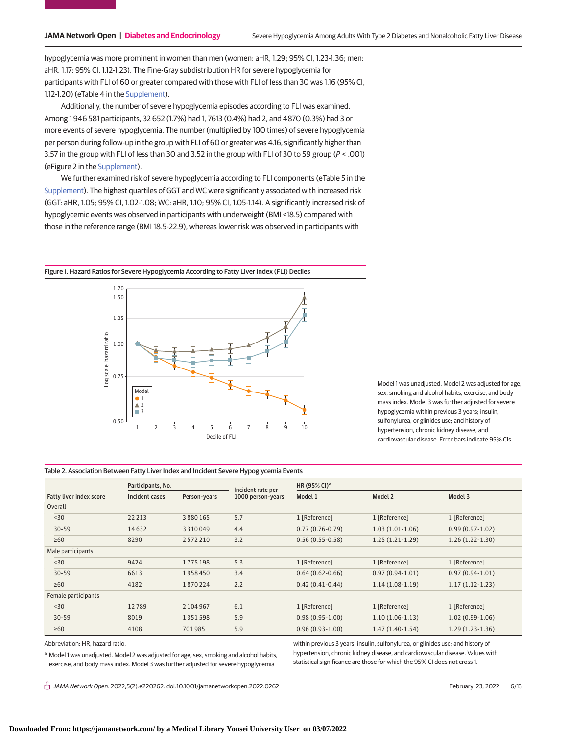hypoglycemia was more prominent in women than men (women: aHR, 1.29; 95% CI, 1.23-1.36; men: aHR, 1.17; 95% CI, 1.12-1.23). The Fine-Gray subdistribution HR for severe hypoglycemia for participants with FLI of 60 or greater compared with those with FLI of less than 30 was 1.16 (95% CI, 1.12-1.20) (eTable 4 in the [Supplement\)](https://jama.jamanetwork.com/article.aspx?doi=10.1001/jamanetworkopen.2022.0262&utm_campaign=articlePDF%26utm_medium=articlePDFlink%26utm_source=articlePDF%26utm_content=jamanetworkopen.2022.0262).

Additionally, the number of severe hypoglycemia episodes according to FLI was examined. Among 1 946 581 participants, 32 652 (1.7%) had 1, 7613 (0.4%) had 2, and 4870 (0.3%) had 3 or more events of severe hypoglycemia. The number (multiplied by 100 times) of severe hypoglycemia per person during follow-up in the group with FLI of 60 or greater was 4.16, significantly higher than 3.57 in the group with FLI of less than 30 and 3.52 in the group with FLI of 30 to 59 group (P < .001) (eFigure 2 in the [Supplement\)](https://jama.jamanetwork.com/article.aspx?doi=10.1001/jamanetworkopen.2022.0262&utm_campaign=articlePDF%26utm_medium=articlePDFlink%26utm_source=articlePDF%26utm_content=jamanetworkopen.2022.0262).

We further examined risk of severe hypoglycemia according to FLI components (eTable 5 in the [Supplement\)](https://jama.jamanetwork.com/article.aspx?doi=10.1001/jamanetworkopen.2022.0262&utm_campaign=articlePDF%26utm_medium=articlePDFlink%26utm_source=articlePDF%26utm_content=jamanetworkopen.2022.0262). The highest quartiles of GGT and WC were significantly associated with increased risk (GGT: aHR, 1.05; 95% CI, 1.02-1.08; WC: aHR, 1.10; 95% CI, 1.05-1.14). A significantly increased risk of hypoglycemic events was observed in participants with underweight (BMI <18.5) compared with those in the reference range (BMI 18.5-22.9), whereas lower risk was observed in participants with

Figure 1. Hazard Ratios for Severe Hypoglycemia According to Fatty Liver Index (FLI) Deciles



Model 1 was unadjusted. Model 2 was adjusted for age, sex, smoking and alcohol habits, exercise, and body mass index. Model 3 was further adjusted for severe hypoglycemia within previous 3 years; insulin, sulfonylurea, or glinides use; and history of hypertension, chronic kidney disease, and cardiovascular disease. Error bars indicate 95% CIs.

#### Table 2. Association Between Fatty Liver Index and Incident Severe Hypoglycemia Events

|                                | Participants, No. |               | Incident rate per | HR (95% CI) <sup>a</sup> |                   |                   |
|--------------------------------|-------------------|---------------|-------------------|--------------------------|-------------------|-------------------|
| <b>Fatty liver index score</b> | Incident cases    | Person-years  | 1000 person-years | Model 1                  | Model 2           | Model 3           |
| Overall                        |                   |               |                   |                          |                   |                   |
| $30$                           | 22213             | 3880165       | 5.7               | 1 [Reference]            | 1 [Reference]     | 1 [Reference]     |
| $30 - 59$                      | 14632             | 3 3 1 0 0 4 9 | 4.4               | $0.77(0.76-0.79)$        | $1.03(1.01-1.06)$ | $0.99(0.97-1.02)$ |
| $\geq 60$                      | 8290              | 2572210       | 3.2               | $0.56(0.55-0.58)$        | $1.25(1.21-1.29)$ | $1.26(1.22-1.30)$ |
| Male participants              |                   |               |                   |                          |                   |                   |
| $30$                           | 9424              | 1775 198      | 5.3               | 1 [Reference]            | 1 [Reference]     | 1 [Reference]     |
| $30 - 59$                      | 6613              | 1958450       | 3.4               | $0.64(0.62 - 0.66)$      | $0.97(0.94-1.01)$ | $0.97(0.94-1.01)$ |
| $\geq 60$                      | 4182              | 1870224       | 2.2               | $0.42(0.41-0.44)$        | $1.14(1.08-1.19)$ | $1.17(1.12-1.23)$ |
| Female participants            |                   |               |                   |                          |                   |                   |
| $30$                           | 12789             | 2 104 967     | 6.1               | 1 [Reference]            | 1 [Reference]     | 1 [Reference]     |
| $30 - 59$                      | 8019              | 1351598       | 5.9               | $0.98(0.95-1.00)$        | $1.10(1.06-1.13)$ | $1.02(0.99-1.06)$ |
| $\geq 60$                      | 4108              | 701985        | 5.9               | $0.96(0.93-1.00)$        | $1.47(1.40-1.54)$ | $1.29(1.23-1.36)$ |
|                                |                   |               |                   |                          |                   |                   |

Abbreviation: HR, hazard ratio.

a Model 1 was unadjusted. Model 2 was adjusted for age, sex, smoking and alcohol habits, exercise, and body mass index. Model 3 was further adjusted for severe hypoglycemia

within previous 3 years; insulin, sulfonylurea, or glinides use; and history of hypertension, chronic kidney disease, and cardiovascular disease. Values with statistical significance are those for which the 95% CI does not cross 1.

 $\bigcap$  JAMA Network Open. 2022;5(2):e220262. doi:10.1001/jamanetworkopen.2022.0262 (Reprinted) February 23, 2022 6/13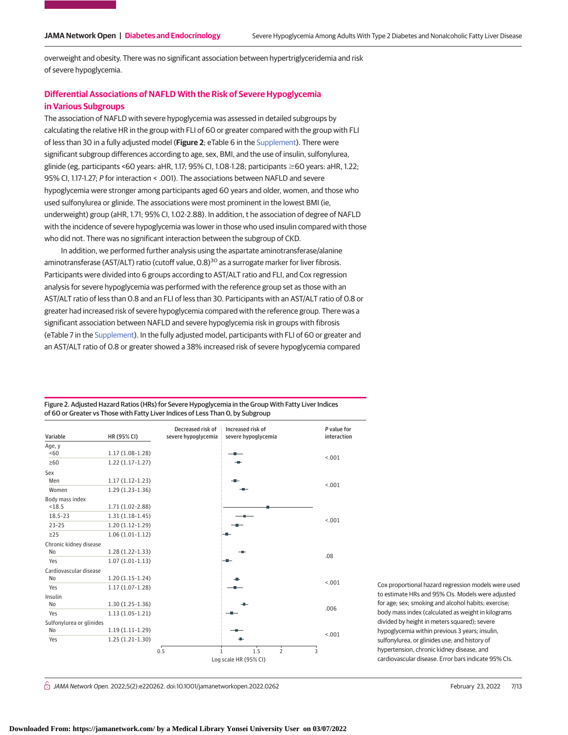overweight and obesity. There was no significant association between hypertriglyceridemia and risk of severe hypoglycemia.

# **Differential Associations of NAFLD With the Risk of Severe Hypoglycemia in Various Subgroups**

The association of NAFLD with severe hypoglycemia was assessed in detailed subgroups by calculating the relative HR in the group with FLI of 60 or greater compared with the group with FLI of less than 30 in a fully adjusted model (**Figure 2**; eTable 6 in the [Supplement\)](https://jama.jamanetwork.com/article.aspx?doi=10.1001/jamanetworkopen.2022.0262&utm_campaign=articlePDF%26utm_medium=articlePDFlink%26utm_source=articlePDF%26utm_content=jamanetworkopen.2022.0262). There were significant subgroup differences according to age, sex, BMI, and the use of insulin, sulfonylurea, glinide (eg, participants <60 years: aHR, 1.17; 95% CI, 1.08-1.28; participants ≥60 years: aHR, 1.22; 95% CI, 1.17-1.27; P for interaction < .001). The associations between NAFLD and severe hypoglycemia were stronger among participants aged 60 years and older, women, and those who used sulfonylurea or glinide. The associations were most prominent in the lowest BMI (ie, underweight) group (aHR, 1.71; 95% CI, 1.02-2.88). In addition, t he association of degree of NAFLD with the incidence of severe hypoglycemia was lower in those who used insulin compared with those who did not. There was no significant interaction between the subgroup of CKD.

In addition, we performed further analysis using the aspartate aminotransferase/alanine aminotransferase (AST/ALT) ratio (cutoff value,  $0.8$ )<sup>30</sup> as a surrogate marker for liver fibrosis. Participants were divided into 6 groups according to AST/ALT ratio and FLI, and Cox regression analysis for severe hypoglycemia was performed with the reference group set as those with an AST/ALT ratio of less than 0.8 and an FLI of less than 30. Participants with an AST/ALT ratio of 0.8 or greater had increased risk of severe hypoglycemia compared with the reference group. There was a significant association between NAFLD and severe hypoglycemia risk in groups with fibrosis (eTable 7 in the [Supplement\)](https://jama.jamanetwork.com/article.aspx?doi=10.1001/jamanetworkopen.2022.0262&utm_campaign=articlePDF%26utm_medium=articlePDFlink%26utm_source=articlePDF%26utm_content=jamanetworkopen.2022.0262). In the fully adjusted model, participants with FLI of 60 or greater and an AST/ALT ratio of 0.8 or greater showed a 38% increased risk of severe hypoglycemia compared

Decreased risk of Increased risk of P value for HR (95% CI) interaction severe hypoglycemia Variable severe hypoglycemia Age, y 1.17 (1.08-1.28)  $<60$ <.001 ≥60 1.22 (1.17-1.27) and in Sex 1.17 (1.12-1.23) Men  $1 - 001$ 1.29 (1.23-1.36) Women Body mass index 1.71 (1.02-2.88)  $< 18.5$ 18.5-23 1.31 (1.18-1.45)  $< 001$ 23-25 1.20 (1.12-1.29)  $>25$  $1.06(1.01-1.12)$ Chronic kidney disease 1.28 (1.22-1.33) No .08 Yes 1.07 (1.01-1.13) Cardiovascular disease 1.20 (1.15-1.24) No <.001 Yes 1.17 (1.07-1.28) Insulin No 1.30 (1.25-1.36) .006 Yes 1.13 (1.05-1.21) Sulfonylurea or glinides 1.19 (1.11-1.29) No  $1 - 001$ Yes 1.25 (1.21-1.30) 0.5 1.5 2 3 1 Log scale HR (95% CI)

Figure 2. Adjusted Hazard Ratios (HRs) for Severe Hypoglycemia in the Group With Fatty Liver Indices of 60 or Greater vs Those with Fatty Liver Indices of Less Than 0, by Subgroup

> Cox proportional hazard regression models were used to estimate HRs and 95% CIs. Models were adjusted for age; sex; smoking and alcohol habits; exercise; body mass index (calculated as weight in kilograms divided by height in meters squared); severe hypoglycemia within previous 3 years; insulin, sulfonylurea, or glinides use; and history of hypertension, chronic kidney disease, and cardiovascular disease. Error bars indicate 95% CIs.

 $\bigcap$  JAMA Network Open. 2022;5(2):e220262. doi:10.1001/jamanetworkopen.2022.0262 (Reprinted) February 23, 2022 7/13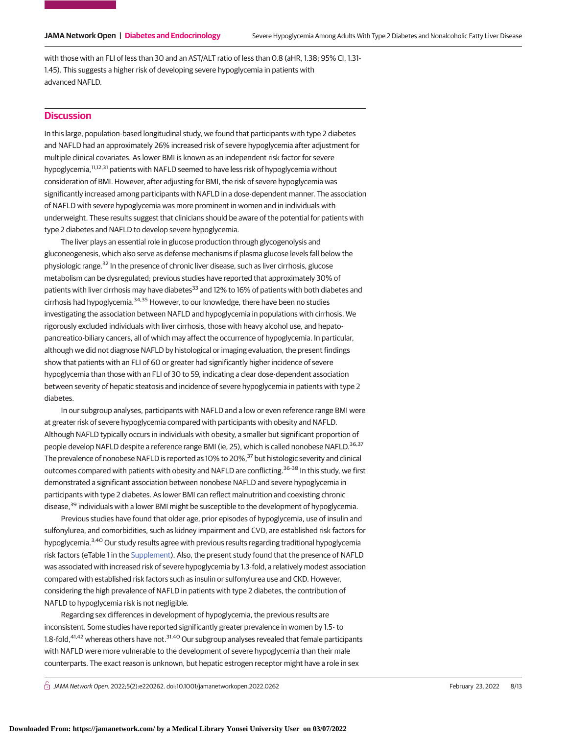with those with an FLI of less than 30 and an AST/ALT ratio of less than 0.8 (aHR, 1.38; 95% CI, 1.31- 1.45). This suggests a higher risk of developing severe hypoglycemia in patients with advanced NAFLD.

# **Discussion**

In this large, population-based longitudinal study, we found that participants with type 2 diabetes and NAFLD had an approximately 26% increased risk of severe hypoglycemia after adjustment for multiple clinical covariates. As lower BMI is known as an independent risk factor for severe hypoglycemia,<sup>11,12,31</sup> patients with NAFLD seemed to have less risk of hypoglycemia without consideration of BMI. However, after adjusting for BMI, the risk of severe hypoglycemia was significantly increased among participants with NAFLD in a dose-dependent manner. The association of NAFLD with severe hypoglycemia was more prominent in women and in individuals with underweight. These results suggest that clinicians should be aware of the potential for patients with type 2 diabetes and NAFLD to develop severe hypoglycemia.

The liver plays an essential role in glucose production through glycogenolysis and gluconeogenesis, which also serve as defense mechanisms if plasma glucose levels fall below the physiologic range.<sup>32</sup> In the presence of chronic liver disease, such as liver cirrhosis, glucose metabolism can be dysregulated; previous studies have reported that approximately 30% of patients with liver cirrhosis may have diabetes<sup>33</sup> and 12% to 16% of patients with both diabetes and cirrhosis had hypoglycemia.34,35 However, to our knowledge, there have been no studies investigating the association between NAFLD and hypoglycemia in populations with cirrhosis. We rigorously excluded individuals with liver cirrhosis, those with heavy alcohol use, and hepatopancreatico-biliary cancers, all of which may affect the occurrence of hypoglycemia. In particular, although we did not diagnose NAFLD by histological or imaging evaluation, the present findings show that patients with an FLI of 60 or greater had significantly higher incidence of severe hypoglycemia than those with an FLI of 30 to 59, indicating a clear dose-dependent association between severity of hepatic steatosis and incidence of severe hypoglycemia in patients with type 2 diabetes.

In our subgroup analyses, participants with NAFLD and a low or even reference range BMI were at greater risk of severe hypoglycemia compared with participants with obesity and NAFLD. Although NAFLD typically occurs in individuals with obesity, a smaller but significant proportion of people develop NAFLD despite a reference range BMI (ie, 25), which is called nonobese NAFLD.<sup>36,37</sup> The prevalence of nonobese NAFLD is reported as 10% to 20%,<sup>37</sup> but histologic severity and clinical outcomes compared with patients with obesity and NAFLD are conflicting.<sup>36-38</sup> In this study, we first demonstrated a significant association between nonobese NAFLD and severe hypoglycemia in participants with type 2 diabetes. As lower BMI can reflect malnutrition and coexisting chronic disease,<sup>39</sup> individuals with a lower BMI might be susceptible to the development of hypoglycemia.

Previous studies have found that older age, prior episodes of hypoglycemia, use of insulin and sulfonylurea, and comorbidities, such as kidney impairment and CVD, are established risk factors for hypoglycemia.<sup>3,40</sup> Our study results agree with previous results regarding traditional hypoglycemia risk factors (eTable 1 in the [Supplement\)](https://jama.jamanetwork.com/article.aspx?doi=10.1001/jamanetworkopen.2022.0262&utm_campaign=articlePDF%26utm_medium=articlePDFlink%26utm_source=articlePDF%26utm_content=jamanetworkopen.2022.0262). Also, the present study found that the presence of NAFLD was associated with increased risk of severe hypoglycemia by 1.3-fold, a relatively modest association compared with established risk factors such as insulin or sulfonylurea use and CKD. However, considering the high prevalence of NAFLD in patients with type 2 diabetes, the contribution of NAFLD to hypoglycemia risk is not negligible.

Regarding sex differences in development of hypoglycemia, the previous results are inconsistent. Some studies have reported significantly greater prevalence in women by 1.5- to 1.8-fold,<sup>41,42</sup> whereas others have not.<sup>31,40</sup> Our subgroup analyses revealed that female participants with NAFLD were more vulnerable to the development of severe hypoglycemia than their male counterparts. The exact reason is unknown, but hepatic estrogen receptor might have a role in sex

 $\bigcap$  JAMA Network Open. 2022;5(2):e220262. doi:10.1001/jamanetworkopen.2022.0262 (Reprinted) February 23, 2022 8/13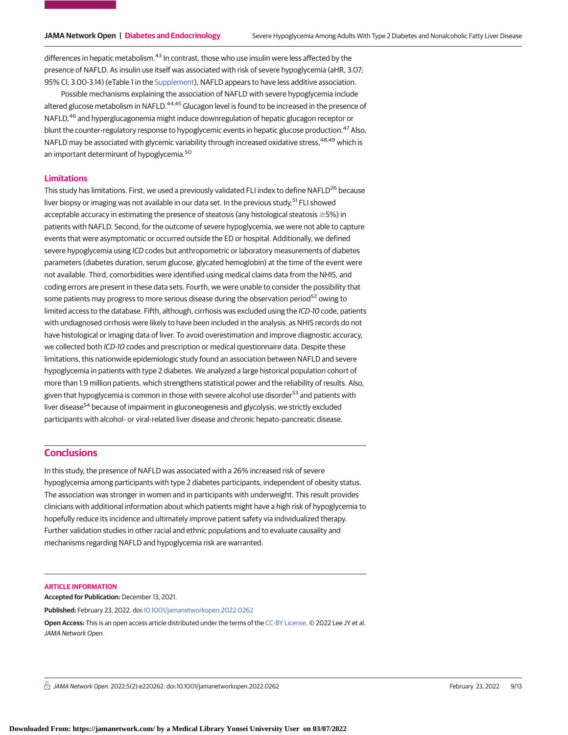differences in hepatic metabolism.<sup>43</sup> In contrast, those who use insulin were less affected by the presence of NAFLD. As insulin use itself was associated with risk of severe hypoglycemia (aHR, 3.07; 95% CI, 3.00-3.14) (eTable 1 in the [Supplement\)](https://jama.jamanetwork.com/article.aspx?doi=10.1001/jamanetworkopen.2022.0262&utm_campaign=articlePDF%26utm_medium=articlePDFlink%26utm_source=articlePDF%26utm_content=jamanetworkopen.2022.0262), NAFLD appears to have less additive association.

Possible mechanisms explaining the association of NAFLD with severe hypoglycemia include altered glucose metabolism in NAFLD.<sup>44,45</sup> Glucagon level is found to be increased in the presence of NAFLD.<sup>46</sup> and hyperglucagonemia might induce downregulation of hepatic glucagon receptor or blunt the counter-regulatory response to hypoglycemic events in hepatic glucose production.<sup>47</sup> Also, NAFLD may be associated with glycemic variability through increased oxidative stress,<sup>48,49</sup> which is an important determinant of hypoglycemia.<sup>50</sup>

## **Limitations**

This study has limitations. First, we used a previously validated FLI index to define NAFLD<sup>26</sup> because liver biopsy or imaging was not available in our data set. In the previous study,<sup>51</sup> FLI showed acceptable accuracy in estimating the presence of steatosis (any histological steatosis  $\geq$ 5%) in patients with NAFLD. Second, for the outcome of severe hypoglycemia, we were not able to capture events that were asymptomatic or occurred outside the ED or hospital. Additionally, we defined severe hypoglycemia using ICD codes but anthropometric or laboratory measurements of diabetes parameters (diabetes duration, serum glucose, glycated hemoglobin) at the time of the event were not available. Third, comorbidities were identified using medical claims data from the NHIS, and coding errors are present in these data sets. Fourth, we were unable to consider the possibility that some patients may progress to more serious disease during the observation period<sup>52</sup> owing to limited access to the database. Fifth, although, cirrhosis was excluded using the ICD-10 code, patients with undiagnosed cirrhosis were likely to have been included in the analysis, as NHIS records do not have histological or imaging data of liver. To avoid overestimation and improve diagnostic accuracy, we collected both ICD-10 codes and prescription or medical questionnaire data. Despite these limitations, this nationwide epidemiologic study found an association between NAFLD and severe hypoglycemia in patients with type 2 diabetes. We analyzed a large historical population cohort of more than 1.9 million patients, which strengthens statistical power and the reliability of results. Also, given that hypoglycemia is common in those with severe alcohol use disorder<sup>53</sup> and patients with liver disease<sup>54</sup> because of impairment in gluconeogenesis and glycolysis, we strictly excluded participants with alcohol- or viral-related liver disease and chronic hepato-pancreatic disease.

# **Conclusions**

In this study, the presence of NAFLD was associated with a 26% increased risk of severe hypoglycemia among participants with type 2 diabetes participants, independent of obesity status. The association was stronger in women and in participants with underweight. This result provides clinicians with additional information about which patients might have a high risk of hypoglycemia to hopefully reduce its incidence and ultimately improve patient safety via individualized therapy. Further validation studies in other racial and ethnic populations and to evaluate causality and mechanisms regarding NAFLD and hypoglycemia risk are warranted.

#### **ARTICLE INFORMATION**

**Accepted for Publication:** December 13, 2021.

**Published:** February 23, 2022. doi[:10.1001/jamanetworkopen.2022.0262](https://jama.jamanetwork.com/article.aspx?doi=10.1001/jamanetworkopen.2022.0262&utm_campaign=articlePDF%26utm_medium=articlePDFlink%26utm_source=articlePDF%26utm_content=jamanetworkopen.2022.0262)

**Open Access:** This is an open access article distributed under the terms of the [CC-BY License.](https://jamanetwork.com/pages/cc-by-license-permissions/?utm_campaign=articlePDF%26utm_medium=articlePDFlink%26utm_source=articlePDF%26utm_content=jamanetworkopen.2022.0262) © 2022 Lee JY et al. JAMA Network Open.

 $\bigcap$  JAMA Network Open. 2022;5(2):e220262. doi:10.1001/jamanetworkopen.2022.0262 (Reprinted) February 23, 2022 9/13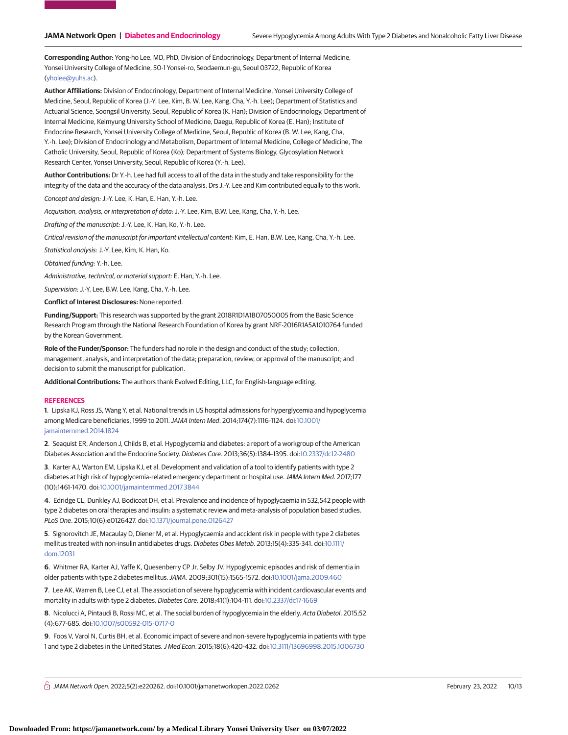**Corresponding Author:** Yong-ho Lee, MD, PhD, Division of Endocrinology, Department of Internal Medicine, Yonsei University College of Medicine, 50-1 Yonsei-ro, Seodaemun-gu, Seoul 03722, Republic of Korea [\(yholee@yuhs.ac\)](mailto:yholee@yuhs.ac).

**Author Affiliations:** Division of Endocrinology, Department of Internal Medicine, Yonsei University College of Medicine, Seoul, Republic of Korea (J.-Y. Lee, Kim, B. W. Lee, Kang, Cha, Y.-h. Lee); Department of Statistics and Actuarial Science, Soongsil University, Seoul, Republic of Korea (K. Han); Division of Endocrinology, Department of Internal Medicine, Keimyung University School of Medicine, Daegu, Republic of Korea (E. Han); Institute of Endocrine Research, Yonsei University College of Medicine, Seoul, Republic of Korea (B. W. Lee, Kang, Cha, Y.-h. Lee); Division of Endocrinology and Metabolism, Department of Internal Medicine, College of Medicine, The Catholic University, Seoul, Republic of Korea (Ko); Department of Systems Biology, Glycosylation Network Research Center, Yonsei University, Seoul, Republic of Korea (Y.-h. Lee).

**Author Contributions:** Dr Y.-h. Lee had full access to all of the data in the study and take responsibility for the integrity of the data and the accuracy of the data analysis. Drs J.-Y. Lee and Kim contributed equally to this work.

Concept and design: J.-Y. Lee, K. Han, E. Han, Y.-h. Lee.

Acquisition, analysis, or interpretation of data: J.-Y. Lee, Kim, B.W. Lee, Kang, Cha, Y.-h. Lee.

Drafting of the manuscript: J.-Y. Lee, K. Han, Ko, Y.-h. Lee.

Critical revision of the manuscript for important intellectual content: Kim, E. Han, B.W. Lee, Kang, Cha, Y.-h. Lee.

Statistical analysis: J.-Y. Lee, Kim, K. Han, Ko.

Obtained funding: Y.-h. Lee.

Administrative, technical, or material support: E. Han, Y.-h. Lee.

Supervision: J.-Y. Lee, B.W. Lee, Kang, Cha, Y.-h. Lee.

**Conflict of Interest Disclosures:** None reported.

**Funding/Support:** This research was supported by the grant 2018R1D1A1B07050005 from the Basic Science Research Program through the National Research Foundation of Korea by grant NRF-2016R1A5A1010764 funded by the Korean Government.

**Role of the Funder/Sponsor:** The funders had no role in the design and conduct of the study; collection, management, analysis, and interpretation of the data; preparation, review, or approval of the manuscript; and decision to submit the manuscript for publication.

**Additional Contributions:** The authors thank Evolved Editing, LLC, for English-language editing.

#### **REFERENCES**

**1**. Lipska KJ, Ross JS, Wang Y, et al. National trends in US hospital admissions for hyperglycemia and hypoglycemia among Medicare beneficiaries, 1999 to 2011.JAMA Intern Med. 2014;174(7):1116-1124. doi[:10.1001/](https://jama.jamanetwork.com/article.aspx?doi=10.1001/jamainternmed.2014.1824&utm_campaign=articlePDF%26utm_medium=articlePDFlink%26utm_source=articlePDF%26utm_content=jamanetworkopen.2022.0262) [jamainternmed.2014.1824](https://jama.jamanetwork.com/article.aspx?doi=10.1001/jamainternmed.2014.1824&utm_campaign=articlePDF%26utm_medium=articlePDFlink%26utm_source=articlePDF%26utm_content=jamanetworkopen.2022.0262)

**2**. Seaquist ER, Anderson J, Childs B, et al. Hypoglycemia and diabetes: a report of a workgroup of the American Diabetes Association and the Endocrine Society. Diabetes Care. 2013;36(5):1384-1395. doi[:10.2337/dc12-2480](https://dx.doi.org/10.2337/dc12-2480)

**3**. Karter AJ, Warton EM, Lipska KJ, et al. Development and validation of a tool to identify patients with type 2 diabetes at high risk of hypoglycemia-related emergency department or hospital use.JAMA Intern Med. 2017;177 (10):1461-1470. doi[:10.1001/jamainternmed.2017.3844](https://jama.jamanetwork.com/article.aspx?doi=10.1001/jamainternmed.2017.3844&utm_campaign=articlePDF%26utm_medium=articlePDFlink%26utm_source=articlePDF%26utm_content=jamanetworkopen.2022.0262)

**4**. Edridge CL, Dunkley AJ, Bodicoat DH, et al. Prevalence and incidence of hypoglycaemia in 532,542 people with type 2 diabetes on oral therapies and insulin: a systematic review and meta-analysis of population based studies. PLoS One. 2015;10(6):e0126427. doi[:10.1371/journal.pone.0126427](https://dx.doi.org/10.1371/journal.pone.0126427)

**5**. Signorovitch JE, Macaulay D, Diener M, et al. Hypoglycaemia and accident risk in people with type 2 diabetes mellitus treated with non-insulin antidiabetes drugs. Diabetes Obes Metab. 2013;15(4):335-341. doi[:10.1111/](https://dx.doi.org/10.1111/dom.12031) [dom.12031](https://dx.doi.org/10.1111/dom.12031)

**6**. Whitmer RA, Karter AJ, Yaffe K, Quesenberry CP Jr, Selby JV. Hypoglycemic episodes and risk of dementia in older patients with type 2 diabetes mellitus.JAMA. 2009;301(15):1565-1572. doi[:10.1001/jama.2009.460](https://jama.jamanetwork.com/article.aspx?doi=10.1001/jama.2009.460&utm_campaign=articlePDF%26utm_medium=articlePDFlink%26utm_source=articlePDF%26utm_content=jamanetworkopen.2022.0262)

**7**. Lee AK, Warren B, Lee CJ, et al. The association of severe hypoglycemia with incident cardiovascular events and mortality in adults with type 2 diabetes. Diabetes Care. 2018;41(1):104-111. doi[:10.2337/dc17-1669](https://dx.doi.org/10.2337/dc17-1669)

**8**. Nicolucci A, Pintaudi B, Rossi MC, et al. The social burden of hypoglycemia in the elderly. Acta Diabetol. 2015;52 (4):677-685. doi[:10.1007/s00592-015-0717-0](https://dx.doi.org/10.1007/s00592-015-0717-0)

**9**. Foos V, Varol N, Curtis BH, et al. Economic impact of severe and non-severe hypoglycemia in patients with type 1 and type 2 diabetes in the United States.J Med Econ. 2015;18(6):420-432. doi[:10.3111/13696998.2015.1006730](https://dx.doi.org/10.3111/13696998.2015.1006730)

 $\bigcap$  JAMA Network Open. 2022;5(2):e220262. doi:10.1001/jamanetworkopen.2022.0262 (Reprinted) February 23, 2022 10/13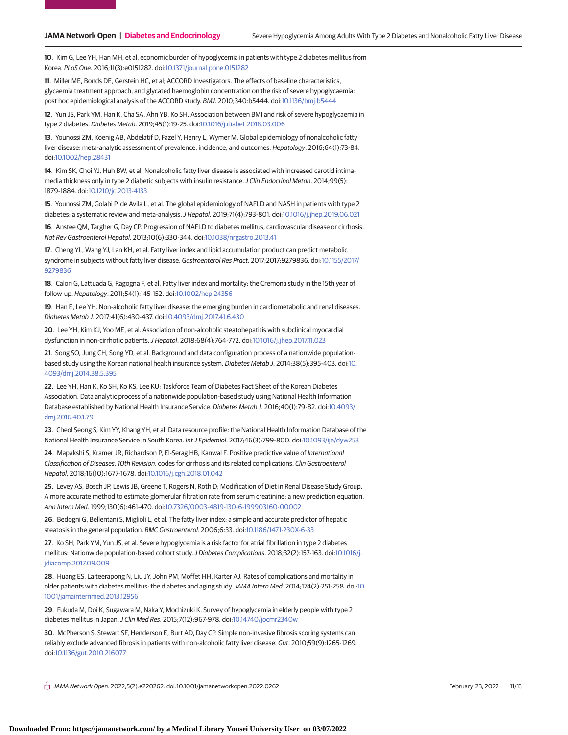**10**. Kim G, Lee YH, Han MH, et al. economic burden of hypoglycemia in patients with type 2 diabetes mellitus from Korea. PLoS One. 2016;11(3):e0151282. doi[:10.1371/journal.pone.0151282](https://dx.doi.org/10.1371/journal.pone.0151282)

**11**. Miller ME, Bonds DE, Gerstein HC, et al; ACCORD Investigators. The effects of baseline characteristics, glycaemia treatment approach, and glycated haemoglobin concentration on the risk of severe hypoglycaemia: post hoc epidemiological analysis of the ACCORD study. BMJ. 2010;340:b5444. doi[:10.1136/bmj.b5444](https://dx.doi.org/10.1136/bmj.b5444)

**12**. Yun JS, Park YM, Han K, Cha SA, Ahn YB, Ko SH. Association between BMI and risk of severe hypoglycaemia in type 2 diabetes. Diabetes Metab. 2019;45(1):19-25. doi[:10.1016/j.diabet.2018.03.006](https://dx.doi.org/10.1016/j.diabet.2018.03.006)

**13**. Younossi ZM, Koenig AB, Abdelatif D, Fazel Y, Henry L, Wymer M. Global epidemiology of nonalcoholic fatty liver disease: meta-analytic assessment of prevalence, incidence, and outcomes. Hepatology. 2016;64(1):73-84. doi[:10.1002/hep.28431](https://dx.doi.org/10.1002/hep.28431)

**14**. Kim SK, Choi YJ, Huh BW, et al. Nonalcoholic fatty liver disease is associated with increased carotid intimamedia thickness only in type 2 diabetic subjects with insulin resistance. J Clin Endocrinol Metab. 2014;99(5): 1879-1884. doi[:10.1210/jc.2013-4133](https://dx.doi.org/10.1210/jc.2013-4133)

**15**. Younossi ZM, Golabi P, de Avila L, et al. The global epidemiology of NAFLD and NASH in patients with type 2 diabetes: a systematic review and meta-analysis.J Hepatol. 2019;71(4):793-801. doi[:10.1016/j.jhep.2019.06.021](https://dx.doi.org/10.1016/j.jhep.2019.06.021)

**16**. Anstee QM, Targher G, Day CP. Progression of NAFLD to diabetes mellitus, cardiovascular disease or cirrhosis. Nat Rev Gastroenterol Hepatol. 2013;10(6):330-344. doi[:10.1038/nrgastro.2013.41](https://dx.doi.org/10.1038/nrgastro.2013.41)

**17**. Cheng YL, Wang YJ, Lan KH, et al. Fatty liver index and lipid accumulation product can predict metabolic syndrome in subjects without fatty liver disease. Gastroenterol Res Pract. 2017;2017:9279836. doi[:10.1155/2017/](https://dx.doi.org/10.1155/2017/9279836) [9279836](https://dx.doi.org/10.1155/2017/9279836)

**18**. Calori G, Lattuada G, Ragogna F, et al. Fatty liver index and mortality: the Cremona study in the 15th year of follow-up. Hepatology. 2011;54(1):145-152. doi[:10.1002/hep.24356](https://dx.doi.org/10.1002/hep.24356)

**19**. Han E, Lee YH. Non-alcoholic fatty liver disease: the emerging burden in cardiometabolic and renal diseases. Diabetes Metab J. 2017;41(6):430-437. doi[:10.4093/dmj.2017.41.6.430](https://dx.doi.org/10.4093/dmj.2017.41.6.430)

**20**. Lee YH, Kim KJ, Yoo ME, et al. Association of non-alcoholic steatohepatitis with subclinical myocardial dysfunction in non-cirrhotic patients.J Hepatol. 2018;68(4):764-772. doi[:10.1016/j.jhep.2017.11.023](https://dx.doi.org/10.1016/j.jhep.2017.11.023)

**21**. Song SO, Jung CH, Song YD, et al. Background and data configuration process of a nationwide populationbased study using the Korean national health insurance system. Diabetes Metab J. 2014;38(5):395-403. doi[:10.](https://dx.doi.org/10.4093/dmj.2014.38.5.395) [4093/dmj.2014.38.5.395](https://dx.doi.org/10.4093/dmj.2014.38.5.395)

**22**. Lee YH, Han K, Ko SH, Ko KS, Lee KU; Taskforce Team of Diabetes Fact Sheet of the Korean Diabetes Association. Data analytic process of a nationwide population-based study using National Health Information Database established by National Health Insurance Service. Diabetes Metab J. 2016;40(1):79-82. doi[:10.4093/](https://dx.doi.org/10.4093/dmj.2016.40.1.79) [dmj.2016.40.1.79](https://dx.doi.org/10.4093/dmj.2016.40.1.79)

**23**. Cheol Seong S, Kim YY, Khang YH, et al. Data resource profile: the National Health Information Database of the National Health Insurance Service in South Korea. Int J Epidemiol. 2017;46(3):799-800. doi[:10.1093/ije/dyw253](https://dx.doi.org/10.1093/ije/dyw253)

**24**. Mapakshi S, Kramer JR, Richardson P, El-Serag HB, Kanwal F. Positive predictive value of International Classification of Diseases, 10th Revision, codes for cirrhosis and its related complications. Clin Gastroenterol Hepatol. 2018;16(10):1677-1678. doi[:10.1016/j.cgh.2018.01.042](https://dx.doi.org/10.1016/j.cgh.2018.01.042)

**25**. Levey AS, Bosch JP, Lewis JB, Greene T, Rogers N, Roth D; Modification of Diet in Renal Disease Study Group. A more accurate method to estimate glomerular filtration rate from serum creatinine: a new prediction equation. Ann Intern Med. 1999;130(6):461-470. doi[:10.7326/0003-4819-130-6-199903160-00002](https://dx.doi.org/10.7326/0003-4819-130-6-199903160-00002)

**26**. Bedogni G, Bellentani S, Miglioli L, et al. The fatty liver index: a simple and accurate predictor of hepatic steatosis in the general population. BMC Gastroenterol. 2006;6:33. doi[:10.1186/1471-230X-6-33](https://dx.doi.org/10.1186/1471-230X-6-33)

**27**. Ko SH, Park YM, Yun JS, et al. Severe hypoglycemia is a risk factor for atrial fibrillation in type 2 diabetes mellitus: Nationwide population-based cohort study.J Diabetes Complications. 2018;32(2):157-163. doi[:10.1016/j.](https://dx.doi.org/10.1016/j.jdiacomp.2017.09.009) idiacomp.2017.09.009

**28**. Huang ES, Laiteerapong N, Liu JY, John PM, Moffet HH, Karter AJ. Rates of complications and mortality in older patients with diabetes mellitus: the diabetes and aging study.JAMA Intern Med. 2014;174(2):251-258. doi[:10.](https://jama.jamanetwork.com/article.aspx?doi=10.1001/jamainternmed.2013.12956&utm_campaign=articlePDF%26utm_medium=articlePDFlink%26utm_source=articlePDF%26utm_content=jamanetworkopen.2022.0262) [1001/jamainternmed.2013.12956](https://jama.jamanetwork.com/article.aspx?doi=10.1001/jamainternmed.2013.12956&utm_campaign=articlePDF%26utm_medium=articlePDFlink%26utm_source=articlePDF%26utm_content=jamanetworkopen.2022.0262)

**29**. Fukuda M, Doi K, Sugawara M, Naka Y, Mochizuki K. Survey of hypoglycemia in elderly people with type 2 diabetes mellitus in Japan. J Clin Med Res. 2015;7(12):967-978. doi[:10.14740/jocmr2340w](https://dx.doi.org/10.14740/jocmr2340w)

**30**. McPherson S, Stewart SF, Henderson E, Burt AD, Day CP. Simple non-invasive fibrosis scoring systems can reliably exclude advanced fibrosis in patients with non-alcoholic fatty liver disease. Gut. 2010;59(9):1265-1269. doi[:10.1136/gut.2010.216077](https://dx.doi.org/10.1136/gut.2010.216077)

 $\bigcap$  JAMA Network Open. 2022;5(2):e220262. doi:10.1001/jamanetworkopen.2022.0262 (Reprinted) February 23, 2022 11/13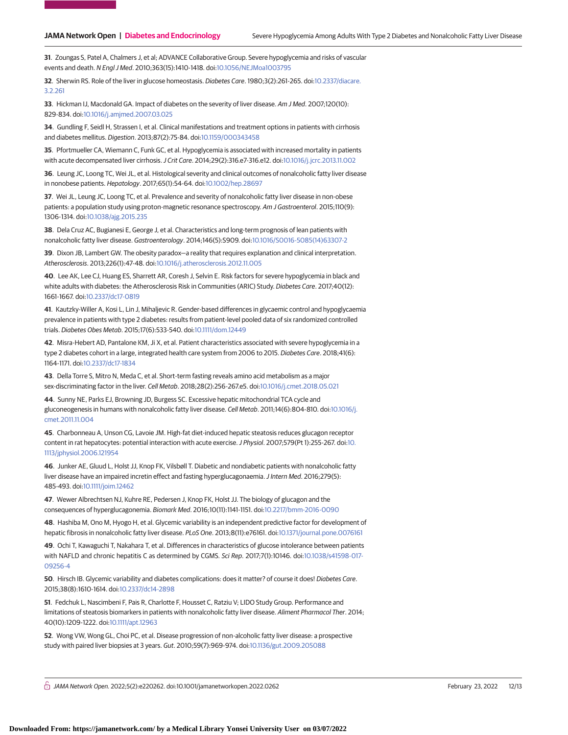**31**. Zoungas S, Patel A, Chalmers J, et al; ADVANCE Collaborative Group. Severe hypoglycemia and risks of vascular events and death. N Engl J Med. 2010;363(15):1410-1418. doi[:10.1056/NEJMoa1003795](https://dx.doi.org/10.1056/NEJMoa1003795)

**32**. Sherwin RS. Role of the liver in glucose homeostasis. Diabetes Care. 1980;3(2):261-265. doi[:10.2337/diacare.](https://dx.doi.org/10.2337/diacare.3.2.261) [3.2.261](https://dx.doi.org/10.2337/diacare.3.2.261)

**33**. Hickman IJ, Macdonald GA. Impact of diabetes on the severity of liver disease. Am J Med. 2007;120(10): 829-834. doi[:10.1016/j.amjmed.2007.03.025](https://dx.doi.org/10.1016/j.amjmed.2007.03.025)

**34**. Gundling F, Seidl H, Strassen I, et al. Clinical manifestations and treatment options in patients with cirrhosis and diabetes mellitus. Digestion. 2013;87(2):75-84. doi[:10.1159/000343458](https://dx.doi.org/10.1159/000343458)

**35**. Pfortmueller CA, Wiemann C, Funk GC, et al. Hypoglycemia is associated with increased mortality in patients with acute decompensated liver cirrhosis.J Crit Care. 2014;29(2):316.e7-316.e12. doi[:10.1016/j.jcrc.2013.11.002](https://dx.doi.org/10.1016/j.jcrc.2013.11.002)

**36**. Leung JC, Loong TC, Wei JL, et al. Histological severity and clinical outcomes of nonalcoholic fatty liver disease in nonobese patients. Hepatology. 2017;65(1):54-64. doi[:10.1002/hep.28697](https://dx.doi.org/10.1002/hep.28697)

**37**. Wei JL, Leung JC, Loong TC, et al. Prevalence and severity of nonalcoholic fatty liver disease in non-obese patients: a population study using proton-magnetic resonance spectroscopy. Am J Gastroenterol. 2015;110(9): 1306-1314. doi[:10.1038/ajg.2015.235](https://dx.doi.org/10.1038/ajg.2015.235)

**38**. Dela Cruz AC, Bugianesi E, George J, et al. Characteristics and long-term prognosis of lean patients with nonalcoholic fatty liver disease. Gastroenterology. 2014;146(5):S909. doi[:10.1016/S0016-5085\(14\)63307-2](https://dx.doi.org/10.1016/S0016-5085(14)63307-2)

**39**. Dixon JB, Lambert GW. The obesity paradox—a reality that requires explanation and clinical interpretation. Atherosclerosis. 2013;226(1):47-48. doi[:10.1016/j.atherosclerosis.2012.11.005](https://dx.doi.org/10.1016/j.atherosclerosis.2012.11.005)

**40**. Lee AK, Lee CJ, Huang ES, Sharrett AR, Coresh J, Selvin E. Risk factors for severe hypoglycemia in black and white adults with diabetes: the Atherosclerosis Risk in Communities (ARIC) Study. Diabetes Care. 2017;40(12): 1661-1667. doi[:10.2337/dc17-0819](https://dx.doi.org/10.2337/dc17-0819)

**41**. Kautzky-Willer A, Kosi L, Lin J, Mihaljevic R. Gender-based differences in glycaemic control and hypoglycaemia prevalence in patients with type 2 diabetes: results from patient-level pooled data of six randomized controlled trials. Diabetes Obes Metab. 2015;17(6):533-540. doi[:10.1111/dom.12449](https://dx.doi.org/10.1111/dom.12449)

**42**. Misra-Hebert AD, Pantalone KM, Ji X, et al. Patient characteristics associated with severe hypoglycemia in a type 2 diabetes cohort in a large, integrated health care system from 2006 to 2015. Diabetes Care. 2018;41(6): 1164-1171. doi[:10.2337/dc17-1834](https://dx.doi.org/10.2337/dc17-1834)

**43**. Della Torre S, Mitro N, Meda C, et al. Short-term fasting reveals amino acid metabolism as a major sex-discriminating factor in the liver. Cell Metab. 2018;28(2):256-267.e5. doi[:10.1016/j.cmet.2018.05.021](https://dx.doi.org/10.1016/j.cmet.2018.05.021)

**44**. Sunny NE, Parks EJ, Browning JD, Burgess SC. Excessive hepatic mitochondrial TCA cycle and gluconeogenesis in humans with nonalcoholic fatty liver disease. Cell Metab. 2011;14(6):804-810. doi[:10.1016/j.](https://dx.doi.org/10.1016/j.cmet.2011.11.004) [cmet.2011.11.004](https://dx.doi.org/10.1016/j.cmet.2011.11.004)

**45**. Charbonneau A, Unson CG, Lavoie JM. High-fat diet-induced hepatic steatosis reduces glucagon receptor content in rat hepatocytes: potential interaction with acute exercise. J Physiol. 2007;579(Pt 1):255-267. doi[:10.](https://dx.doi.org/10.1113/jphysiol.2006.121954) [1113/jphysiol.2006.121954](https://dx.doi.org/10.1113/jphysiol.2006.121954)

**46**. Junker AE, Gluud L, Holst JJ, Knop FK, Vilsbøll T. Diabetic and nondiabetic patients with nonalcoholic fatty liver disease have an impaired incretin effect and fasting hyperglucagonaemia. J Intern Med. 2016;279(5): 485-493. doi[:10.1111/joim.12462](https://dx.doi.org/10.1111/joim.12462)

**47**. Wewer Albrechtsen NJ, Kuhre RE, Pedersen J, Knop FK, Holst JJ. The biology of glucagon and the consequences of hyperglucagonemia. Biomark Med. 2016;10(11):1141-1151. doi[:10.2217/bmm-2016-0090](https://dx.doi.org/10.2217/bmm-2016-0090)

**48**. Hashiba M, Ono M, Hyogo H, et al. Glycemic variability is an independent predictive factor for development of hepatic fibrosis in nonalcoholic fatty liver disease. PLoS One. 2013;8(11):e76161. doi[:10.1371/journal.pone.0076161](https://dx.doi.org/10.1371/journal.pone.0076161)

**49**. Ochi T, Kawaguchi T, Nakahara T, et al. Differences in characteristics of glucose intolerance between patients with NAFLD and chronic hepatitis C as determined by CGMS. Sci Rep. 2017;7(1):10146. doi[:10.1038/s41598-017-](https://dx.doi.org/10.1038/s41598-017-09256-4) [09256-4](https://dx.doi.org/10.1038/s41598-017-09256-4)

**50**. Hirsch IB. Glycemic variability and diabetes complications: does it matter? of course it does! Diabetes Care. 2015;38(8):1610-1614. doi[:10.2337/dc14-2898](https://dx.doi.org/10.2337/dc14-2898)

**51**. Fedchuk L, Nascimbeni F, Pais R, Charlotte F, Housset C, Ratziu V; LIDO Study Group. Performance and limitations of steatosis biomarkers in patients with nonalcoholic fatty liver disease. Aliment Pharmacol Ther. 2014; 40(10):1209-1222. doi[:10.1111/apt.12963](https://dx.doi.org/10.1111/apt.12963)

**52**. Wong VW, Wong GL, Choi PC, et al. Disease progression of non-alcoholic fatty liver disease: a prospective study with paired liver biopsies at 3 years. Gut. 2010;59(7):969-974. doi[:10.1136/gut.2009.205088](https://dx.doi.org/10.1136/gut.2009.205088)

 $\bigcap$  JAMA Network Open. 2022;5(2):e220262. doi:10.1001/jamanetworkopen.2022.0262 (Reprinted) February 23, 2022 12/13